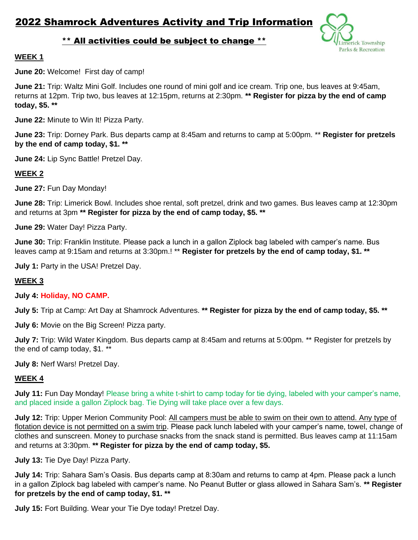erick Township Parks & Recreation

# \*\* All activities could be subject to change \*\*

## **WEEK 1**

**June 20:** Welcome! First day of camp!

**June 21:** Trip: Waltz Mini Golf. Includes one round of mini golf and ice cream. Trip one, bus leaves at 9:45am, returns at 12pm. Trip two, bus leaves at 12:15pm, returns at 2:30pm. **\*\* Register for pizza by the end of camp today, \$5. \*\***

**June 22:** Minute to Win It! Pizza Party.

**June 23:** Trip: Dorney Park. Bus departs camp at 8:45am and returns to camp at 5:00pm. \*\* **Register for pretzels by the end of camp today, \$1. \*\***

**June 24:** Lip Sync Battle! Pretzel Day.

## **WEEK 2**

**June 27:** Fun Day Monday!

**June 28:** Trip: Limerick Bowl. Includes shoe rental, soft pretzel, drink and two games. Bus leaves camp at 12:30pm and returns at 3pm **\*\* Register for pizza by the end of camp today, \$5. \*\***

**June 29:** Water Day! Pizza Party.

**June 30:** Trip: Franklin Institute. Please pack a lunch in a gallon Ziplock bag labeled with camper's name. Bus leaves camp at 9:15am and returns at 3:30pm.! \*\* **Register for pretzels by the end of camp today, \$1. \*\***

**July 1:** Party in the USA! Pretzel Day.

### **WEEK 3**

### **July 4: Holiday, NO CAMP.**

**July 5:** Trip at Camp: Art Day at Shamrock Adventures. **\*\* Register for pizza by the end of camp today, \$5. \*\***

**July 6:** Movie on the Big Screen! Pizza party.

**July 7:** Trip: Wild Water Kingdom. Bus departs camp at 8:45am and returns at 5:00pm. \*\* Register for pretzels by the end of camp today, \$1. \*\*

**July 8:** Nerf Wars! Pretzel Day.

### **WEEK 4**

**July 11:** Fun Day Monday! Please bring a white t-shirt to camp today for tie dying, labeled with your camper's name, and placed inside a gallon Ziplock bag. Tie Dying will take place over a few days.

**July 12:** Trip: Upper Merion Community Pool: All campers must be able to swim on their own to attend. Any type of flotation device is not permitted on a swim trip. Please pack lunch labeled with your camper's name, towel, change of clothes and sunscreen. Money to purchase snacks from the snack stand is permitted. Bus leaves camp at 11:15am and returns at 3:30pm. **\*\* Register for pizza by the end of camp today, \$5.**

**July 13:** Tie Dye Day! Pizza Party.

**July 14:** Trip: Sahara Sam's Oasis. Bus departs camp at 8:30am and returns to camp at 4pm. Please pack a lunch in a gallon Ziplock bag labeled with camper's name. No Peanut Butter or glass allowed in Sahara Sam's. **\*\* Register for pretzels by the end of camp today, \$1. \*\***

**July 15:** Fort Building. Wear your Tie Dye today! Pretzel Day.